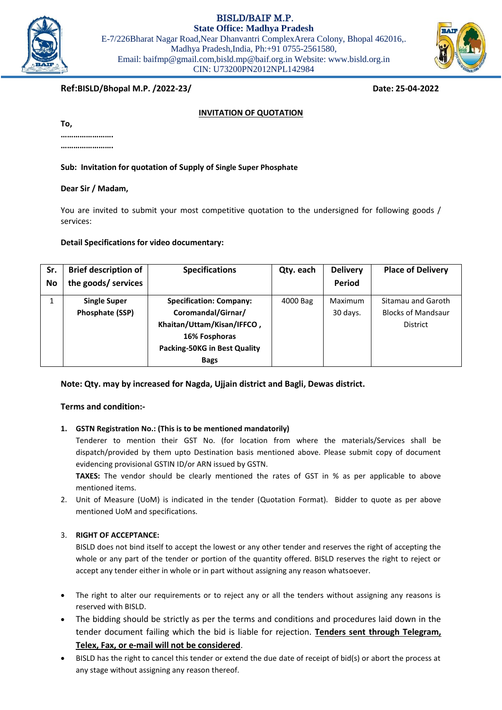BISLD/BAIF M.P.

**State Office: Madhya Pradesh** E-7/226Bharat Nagar Road,Near Dhanvantri ComplexArera Colony, Bhopal 462016,. Madhya Pradesh,India, Ph:+91 0755-2561580, Email: baifmp@gmail.com,bisld.mp@baif.org.in Website: www.bisld.org.in CIN: U73200PN2012NPL142984



# **Ref:BISLD/Bhopal M.P. /2022-23/ Date: 25-04-2022**

#### **INVITATION OF QUOTATION**

| To, |  |  |  |  |
|-----|--|--|--|--|
|     |  |  |  |  |
|     |  |  |  |  |

**Sub: Invitation for quotation of Supply of Single Super Phosphate**

#### **Dear Sir / Madam,**

You are invited to submit your most competitive quotation to the undersigned for following goods / services:

#### **Detail Specifications for video documentary:**

| Sr.<br>No | <b>Brief description of</b><br>the goods/ services | <b>Specifications</b>                                                                                                                                     | Qty. each | <b>Delivery</b><br>Period | <b>Place of Delivery</b>                                           |
|-----------|----------------------------------------------------|-----------------------------------------------------------------------------------------------------------------------------------------------------------|-----------|---------------------------|--------------------------------------------------------------------|
|           | <b>Single Super</b><br>Phosphate (SSP)             | <b>Specification: Company:</b><br>Coromandal/Girnar/<br>Khaitan/Uttam/Kisan/IFFCO,<br>16% Fosphoras<br><b>Packing-50KG in Best Quality</b><br><b>Bags</b> | 4000 Bag  | Maximum<br>30 days.       | Sitamau and Garoth<br><b>Blocks of Mandsaur</b><br><b>District</b> |

### **Note: Qty. may by increased for Nagda, Ujjain district and Bagli, Dewas district.**

### **Terms and condition:-**

### **1. GSTN Registration No.: (This is to be mentioned mandatorily)**

Tenderer to mention their GST No. (for location from where the materials/Services shall be dispatch/provided by them upto Destination basis mentioned above. Please submit copy of document evidencing provisional GSTIN ID/or ARN issued by GSTN.

**TAXES:** The vendor should be clearly mentioned the rates of GST in % as per applicable to above mentioned items.

2. Unit of Measure (UoM) is indicated in the tender (Quotation Format). Bidder to quote as per above mentioned UoM and specifications.

### 3. **RIGHT OF ACCEPTANCE:**

BISLD does not bind itself to accept the lowest or any other tender and reserves the right of accepting the whole or any part of the tender or portion of the quantity offered. BISLD reserves the right to reject or accept any tender either in whole or in part without assigning any reason whatsoever.

- The right to alter our requirements or to reject any or all the tenders without assigning any reasons is reserved with BISLD.
- The bidding should be strictly as per the terms and conditions and procedures laid down in the tender document failing which the bid is liable for rejection. **Tenders sent through Telegram, Telex, Fax, or e-mail will not be considered**.
- BISLD has the right to cancel this tender or extend the due date of receipt of bid(s) or abort the process at any stage without assigning any reason thereof.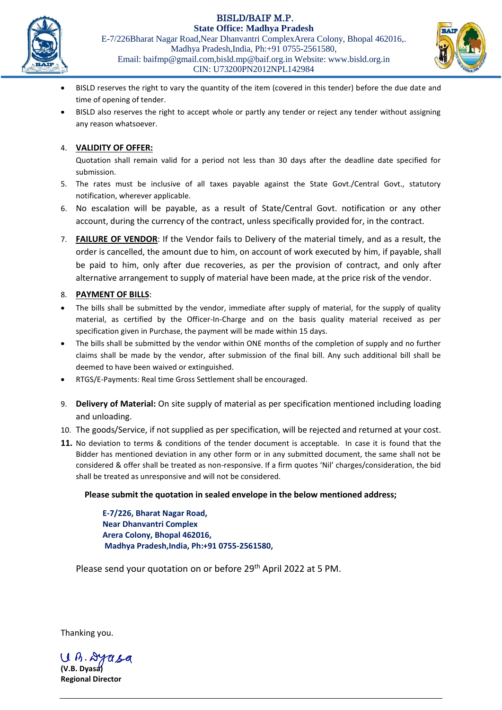BISLD/BAIF M.P.



**State Office: Madhya Pradesh** E-7/226Bharat Nagar Road,Near Dhanvantri ComplexArera Colony, Bhopal 462016,. Madhya Pradesh,India, Ph:+91 0755-2561580, Email: baifmp@gmail.com,bisld.mp@baif.org.in Website: www.bisld.org.in CIN: U73200PN2012NPL142984



- BISLD reserves the right to vary the quantity of the item (covered in this tender) before the due date and time of opening of tender.
- BISLD also reserves the right to accept whole or partly any tender or reject any tender without assigning any reason whatsoever.

# 4. **VALIDITY OF OFFER:**

Quotation shall remain valid for a period not less than 30 days after the deadline date specified for submission.

- 5. The rates must be inclusive of all taxes payable against the State Govt./Central Govt., statutory notification, wherever applicable.
- 6. No escalation will be payable, as a result of State/Central Govt. notification or any other account, during the currency of the contract, unless specifically provided for, in the contract.
- 7. **FAILURE OF VENDOR**: If the Vendor fails to Delivery of the material timely, and as a result, the order is cancelled, the amount due to him, on account of work executed by him, if payable, shall be paid to him, only after due recoveries, as per the provision of contract, and only after alternative arrangement to supply of material have been made, at the price risk of the vendor.

# 8. **PAYMENT OF BILLS**:

- The bills shall be submitted by the vendor, immediate after supply of material, for the supply of quality material, as certified by the Officer-In-Charge and on the basis quality material received as per specification given in Purchase, the payment will be made within 15 days.
- The bills shall be submitted by the vendor within ONE months of the completion of supply and no further claims shall be made by the vendor, after submission of the final bill. Any such additional bill shall be deemed to have been waived or extinguished.
- RTGS/E-Payments: Real time Gross Settlement shall be encouraged.
- 9. **Delivery of Material:** On site supply of material as per specification mentioned including loading and unloading.
- 10. The goods/Service, if not supplied as per specification, will be rejected and returned at your cost.
- **11.** No deviation to terms & conditions of the tender document is acceptable. In case it is found that the Bidder has mentioned deviation in any other form or in any submitted document, the same shall not be considered & offer shall be treated as non-responsive. If a firm quotes 'Nil' charges/consideration, the bid shall be treated as unresponsive and will not be considered.

# **Please submit the quotation in sealed envelope in the below mentioned address;**

**E-7/226, Bharat Nagar Road, Near Dhanvantri Complex Arera Colony, Bhopal 462016, Madhya Pradesh,India, Ph:+91 0755-2561580,**

Please send your quotation on or before 29<sup>th</sup> April 2022 at 5 PM.

Thanking you.

 $U(h.840.6$ **(V.B. Dyasa)**

**Regional Director**